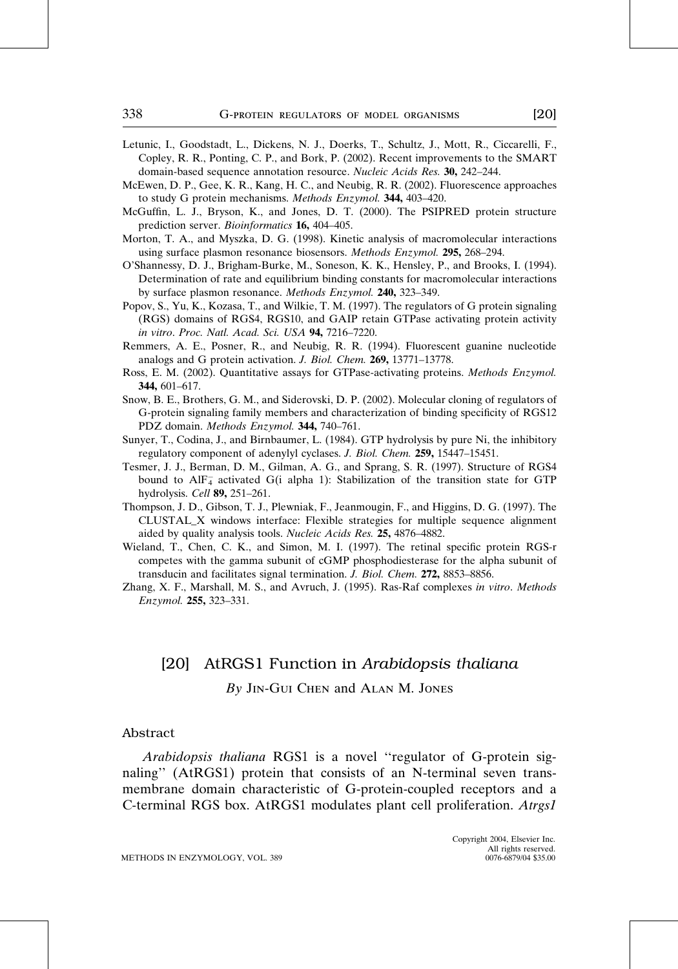- Letunic, I., Goodstadt, L., Dickens, N. J., Doerks, T., Schultz, J., Mott, R., Ciccarelli, F., Copley, R. R., Ponting, C. P., and Bork, P. (2002). Recent improvements to the SMART domain-based sequence annotation resource. Nucleic Acids Res. 30, 242–244.
- McEwen, D. P., Gee, K. R., Kang, H. C., and Neubig, R. R. (2002). Fluorescence approaches to study G protein mechanisms. Methods Enzymol. 344, 403–420.
- McGuffin, L. J., Bryson, K., and Jones, D. T. (2000). The PSIPRED protein structure prediction server. Bioinformatics 16, 404–405.
- Morton, T. A., and Myszka, D. G. (1998). Kinetic analysis of macromolecular interactions using surface plasmon resonance biosensors. Methods Enzymol. 295, 268–294.
- O'Shannessy, D. J., Brigham-Burke, M., Soneson, K. K., Hensley, P., and Brooks, I. (1994). Determination of rate and equilibrium binding constants for macromolecular interactions by surface plasmon resonance. Methods Enzymol. 240, 323–349.
- Popov, S., Yu, K., Kozasa, T., and Wilkie, T. M. (1997). The regulators of G protein signaling (RGS) domains of RGS4, RGS10, and GAIP retain GTPase activating protein activity in vitro. Proc. Natl. Acad. Sci. USA 94, 7216–7220.
- Remmers, A. E., Posner, R., and Neubig, R. R. (1994). Fluorescent guanine nucleotide analogs and G protein activation. J. Biol. Chem. 269, 13771–13778.
- Ross, E. M. (2002). Quantitative assays for GTPase-activating proteins. Methods Enzymol. 344, 601–617.
- Snow, B. E., Brothers, G. M., and Siderovski, D. P. (2002). Molecular cloning of regulators of G-protein signaling family members and characterization of binding specificity of RGS12 PDZ domain. Methods Enzymol. 344, 740-761.
- Sunyer, T., Codina, J., and Birnbaumer, L. (1984). GTP hydrolysis by pure Ni, the inhibitory regulatory component of adenylyl cyclases. J. Biol. Chem. 259, 15447–15451.
- Tesmer, J. J., Berman, D. M., Gilman, A. G., and Sprang, S. R. (1997). Structure of RGS4 bound to AlF<sub>4</sub> activated G(i alpha 1): Stabilization of the transition state for GTP hydrolysis. Cell 89, 251–261.
- Thompson, J. D., Gibson, T. J., Plewniak, F., Jeanmougin, F., and Higgins, D. G. (1997). The CLUSTAL\_X windows interface: Flexible strategies for multiple sequence alignment aided by quality analysis tools. Nucleic Acids Res. 25, 4876–4882.
- Wieland, T., Chen, C. K., and Simon, M. I. (1997). The retinal specific protein RGS-r competes with the gamma subunit of cGMP phosphodiesterase for the alpha subunit of transducin and facilitates signal termination. J. Biol. Chem. 272, 8853–8856.
- Zhang, X. F., Marshall, M. S., and Avruch, J. (1995). Ras-Raf complexes in vitro. Methods Enzymol. 255, 323–331.

# [20] AtRGS1 Function in Arabidopsis thaliana By Jin-Gui Chen and Alan M. Jones

#### Abstract

Arabidopsis thaliana RGS1 is a novel ''regulator of G-protein signaling'' (AtRGS1) protein that consists of an N-terminal seven transmembrane domain characteristic of G-protein-coupled receptors and a C-terminal RGS box. AtRGS1 modulates plant cell proliferation. Atrgs1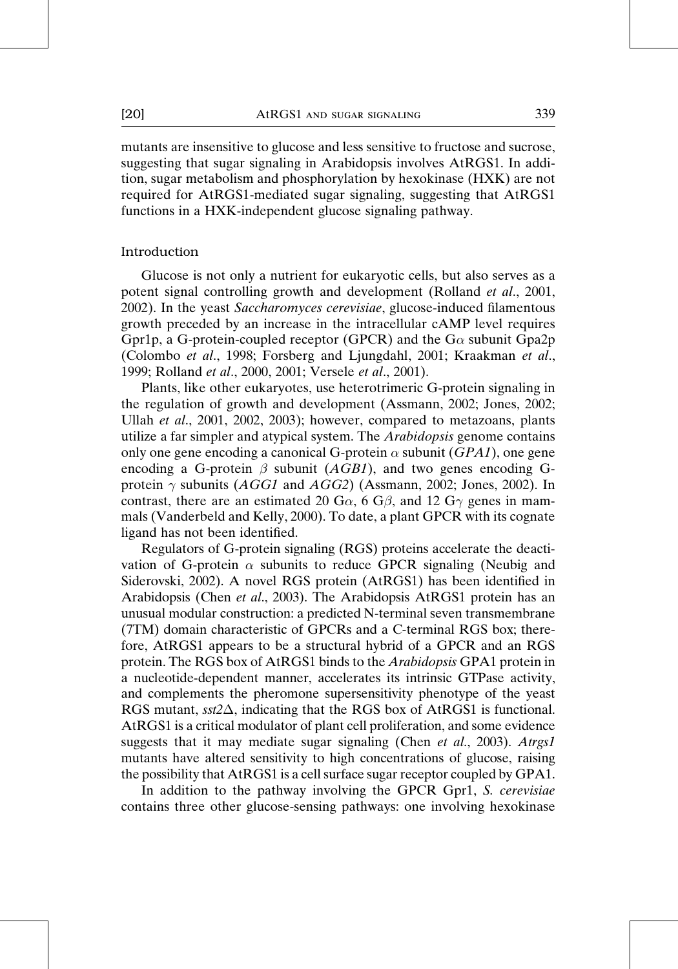mutants are insensitive to glucose and less sensitive to fructose and sucrose, suggesting that sugar signaling in Arabidopsis involves AtRGS1. In addition, sugar metabolism and phosphorylation by hexokinase (HXK) are not required for AtRGS1-mediated sugar signaling, suggesting that AtRGS1 functions in a HXK-independent glucose signaling pathway.

#### Introduction

Glucose is not only a nutrient for eukaryotic cells, but also serves as a potent signal controlling growth and development (Rolland et al., 2001, 2002). In the yeast Saccharomyces cerevisiae, glucose-induced filamentous growth preceded by an increase in the intracellular cAMP level requires Gpr1p, a G-protein-coupled receptor (GPCR) and the  $G\alpha$  subunit Gpa2p (Colombo et al., 1998; Forsberg and Ljungdahl, 2001; Kraakman et al., 1999; Rolland et al., 2000, 2001; Versele et al., 2001).

Plants, like other eukaryotes, use heterotrimeric G-protein signaling in the regulation of growth and development (Assmann, 2002; Jones, 2002; Ullah et al., 2001, 2002, 2003); however, compared to metazoans, plants utilize a far simpler and atypical system. The *Arabidopsis* genome contains only one gene encoding a canonical G-protein  $\alpha$  subunit (GPA1), one gene encoding a G-protein  $\beta$  subunit (AGB1), and two genes encoding Gprotein  $\gamma$  subunits (*AGG1* and *AGG2*) (Assmann, 2002; Jones, 2002). In contrast, there are an estimated 20 G $\alpha$ , 6 G $\beta$ , and 12 G $\gamma$  genes in mammals (Vanderbeld and Kelly, 2000). To date, a plant GPCR with its cognate ligand has not been identified.

Regulators of G-protein signaling (RGS) proteins accelerate the deactivation of G-protein  $\alpha$  subunits to reduce GPCR signaling (Neubig and Siderovski, 2002). A novel RGS protein (AtRGS1) has been identified in Arabidopsis (Chen et al., 2003). The Arabidopsis AtRGS1 protein has an unusual modular construction: a predicted N-terminal seven transmembrane (7TM) domain characteristic of GPCRs and a C-terminal RGS box; therefore, AtRGS1 appears to be a structural hybrid of a GPCR and an RGS protein. The RGS box of AtRGS1 binds to the Arabidopsis GPA1 protein in a nucleotide-dependent manner, accelerates its intrinsic GTPase activity, and complements the pheromone supersensitivity phenotype of the yeast RGS mutant,  $sst2\Delta$ , indicating that the RGS box of AtRGS1 is functional. AtRGS1 is a critical modulator of plant cell proliferation, and some evidence suggests that it may mediate sugar signaling (Chen et al., 2003). Atrgs1 mutants have altered sensitivity to high concentrations of glucose, raising the possibility that AtRGS1 is a cell surface sugar receptor coupled by GPA1.

In addition to the pathway involving the GPCR Gpr1, S. cerevisiae contains three other glucose-sensing pathways: one involving hexokinase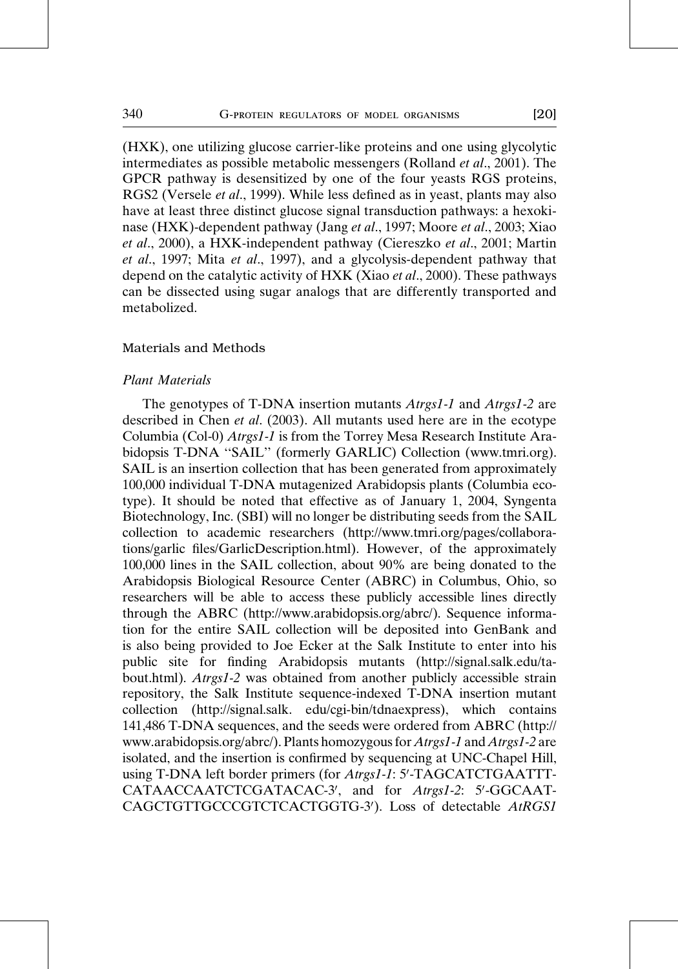(HXK), one utilizing glucose carrier-like proteins and one using glycolytic intermediates as possible metabolic messengers (Rolland et al., 2001). The GPCR pathway is desensitized by one of the four yeasts RGS proteins, RGS2 (Versele *et al.*, 1999). While less defined as in yeast, plants may also have at least three distinct glucose signal transduction pathways: a hexokinase (HXK)-dependent pathway (Jang et al., 1997; Moore et al., 2003; Xiao et al., 2000), a HXK-independent pathway (Ciereszko et al., 2001; Martin et al., 1997; Mita et al., 1997), and a glycolysis-dependent pathway that depend on the catalytic activity of HXK (Xiao et al., 2000). These pathways can be dissected using sugar analogs that are differently transported and metabolized.

#### Materials and Methods

## Plant Materials

The genotypes of T-DNA insertion mutants *Atrgs1-1* and *Atrgs1-2* are described in Chen et al. (2003). All mutants used here are in the ecotype Columbia (Col-0) Atrgs1-1 is from the Torrey Mesa Research Institute Arabidopsis T-DNA ''SAIL'' (formerly GARLIC) Collection (www.tmri.org). SAIL is an insertion collection that has been generated from approximately 100,000 individual T-DNA mutagenized Arabidopsis plants (Columbia ecotype). It should be noted that effective as of January 1, 2004, Syngenta Biotechnology, Inc. (SBI) will no longer be distributing seeds from the SAIL collection to academic researchers (http://www.tmri.org/pages/collaborations/garlic files/GarlicDescription.html). However, of the approximately 100,000 lines in the SAIL collection, about 90% are being donated to the Arabidopsis Biological Resource Center (ABRC) in Columbus, Ohio, so researchers will be able to access these publicly accessible lines directly through the ABRC (http://www.arabidopsis.org/abrc/). Sequence information for the entire SAIL collection will be deposited into GenBank and is also being provided to Joe Ecker at the Salk Institute to enter into his public site for finding Arabidopsis mutants (http://signal.salk.edu/tabout.html). Atrgs1-2 was obtained from another publicly accessible strain repository, the Salk Institute sequence-indexed T-DNA insertion mutant collection (http://signal.salk. edu/cgi-bin/tdnaexpress), which contains 141,486 T-DNA sequences, and the seeds were ordered from ABRC (http:// www.arabidopsis.org/abrc/). Plants homozygous for Atrgs1-1 and Atrgs1-2 are isolated, and the insertion is confirmed by sequencing at UNC-Chapel Hill, using T-DNA left border primers (for Atrgs1-1: 5'-TAGCATCTGAATTT-CATAACCAATCTCGATACAC-3', and for Atrgs1-2: 5'-GGCAAT-CAGCTGTTGCCCGTCTCACTGGTG-3'). Loss of detectable AtRGS1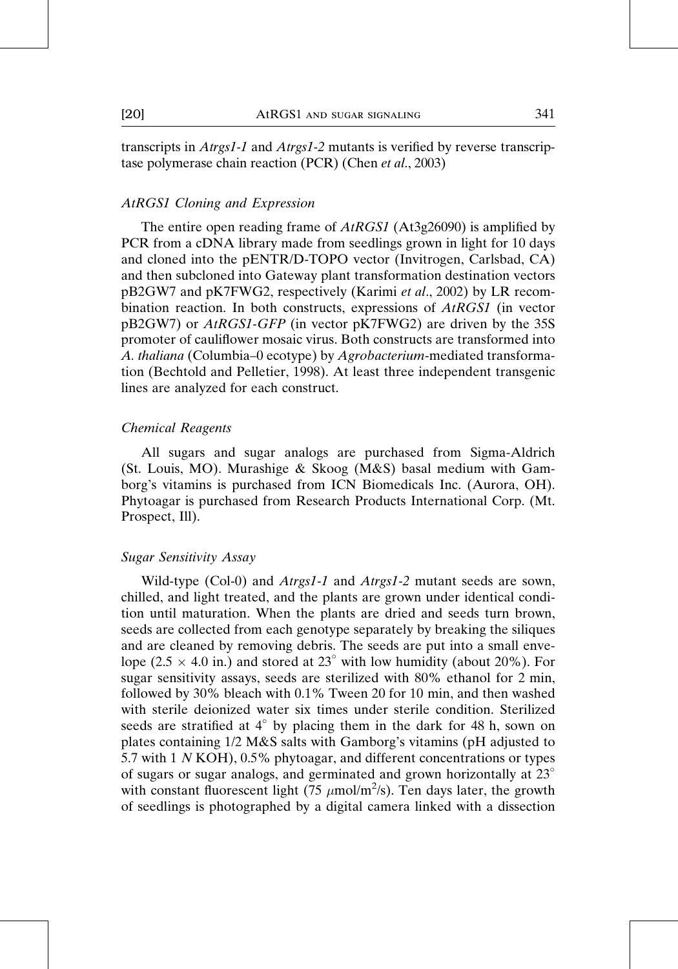transcripts in Atrgs1-1 and Atrgs1-2 mutants is verified by reverse transcriptase polymerase chain reaction (PCR) (Chen et al., 2003)

## AtRGS1 Cloning and Expression

The entire open reading frame of AtRGS1 (At3g26090) is amplified by PCR from a cDNA library made from seedlings grown in light for 10 days and cloned into the pENTR/D-TOPO vector (Invitrogen, Carlsbad, CA) and then subcloned into Gateway plant transformation destination vectors pB2GW7 and pK7FWG2, respectively (Karimi et al., 2002) by LR recombination reaction. In both constructs, expressions of AtRGS1 (in vector pB2GW7) or *AtRGS1-GFP* (in vector pK7FWG2) are driven by the 35S promoter of cauliflower mosaic virus. Both constructs are transformed into A. thaliana (Columbia–0 ecotype) by Agrobacterium-mediated transformation (Bechtold and Pelletier, 1998). At least three independent transgenic lines are analyzed for each construct.

### Chemical Reagents

All sugars and sugar analogs are purchased from Sigma-Aldrich (St. Louis, MO). Murashige & Skoog (M&S) basal medium with Gamborg's vitamins is purchased from ICN Biomedicals Inc. (Aurora, OH). Phytoagar is purchased from Research Products International Corp. (Mt. Prospect, Ill).

## Sugar Sensitivity Assay

Wild-type (Col-0) and *Atrgs1-1* and *Atrgs1-2* mutant seeds are sown, chilled, and light treated, and the plants are grown under identical condition until maturation. When the plants are dried and seeds turn brown, seeds are collected from each genotype separately by breaking the siliques and are cleaned by removing debris. The seeds are put into a small envelope (2.5  $\times$  4.0 in.) and stored at 23° with low humidity (about 20%). For sugar sensitivity assays, seeds are sterilized with 80% ethanol for 2 min, followed by 30% bleach with 0.1% Tween 20 for 10 min, and then washed with sterile deionized water six times under sterile condition. Sterilized seeds are stratified at  $4^\circ$  by placing them in the dark for 48 h, sown on plates containing 1/2 M&S salts with Gamborg's vitamins (pH adjusted to 5.7 with 1 N KOH), 0.5% phytoagar, and different concentrations or types of sugars or sugar analogs, and germinated and grown horizontally at 23 with constant fluorescent light (75  $\mu$ mol/m<sup>2</sup>/s). Ten days later, the growth of seedlings is photographed by a digital camera linked with a dissection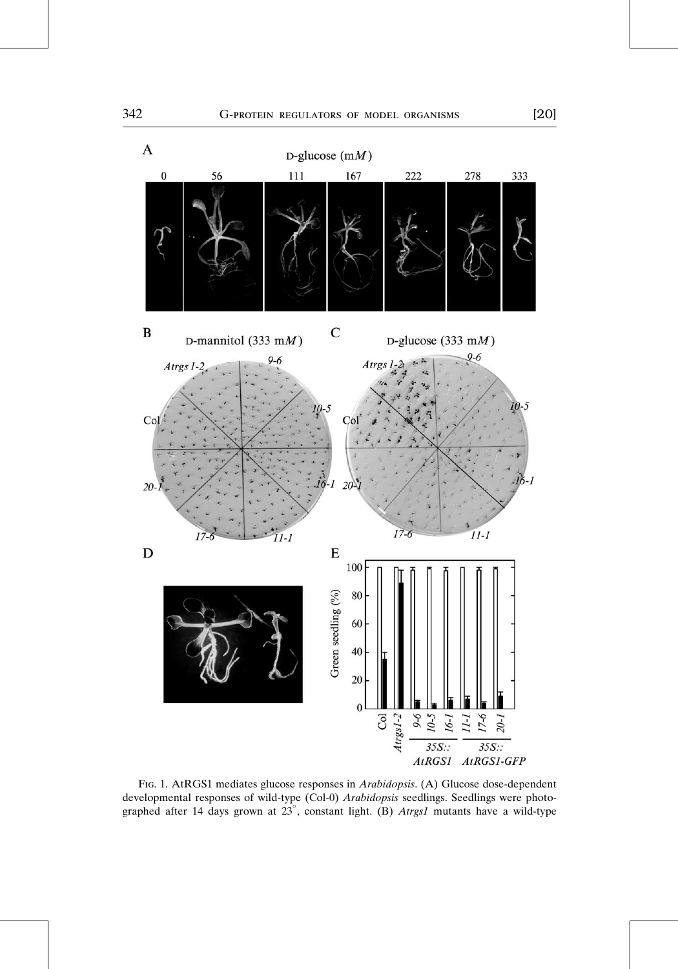

Fig. 1. AtRGS1 mediates glucose responses in Arabidopsis. (A) Glucose dose-dependent developmental responses of wild-type (Col-0) Arabidopsis seedlings. Seedlings were photographed after 14 days grown at  $23^{\circ}$ , constant light. (B) Atrgs1 mutants have a wild-type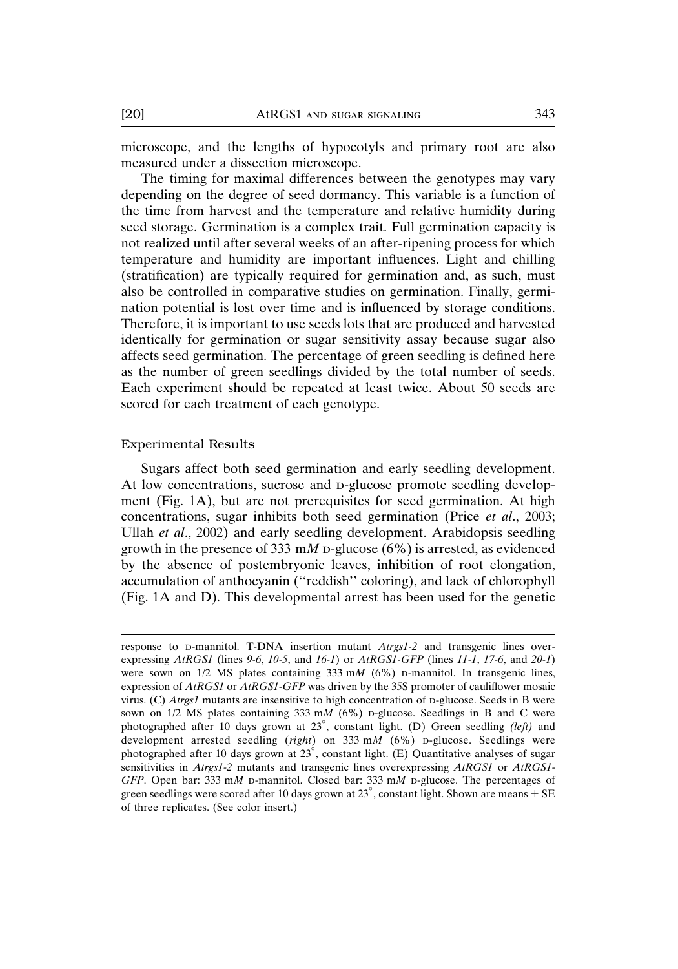microscope, and the lengths of hypocotyls and primary root are also measured under a dissection microscope.

The timing for maximal differences between the genotypes may vary depending on the degree of seed dormancy. This variable is a function of the time from harvest and the temperature and relative humidity during seed storage. Germination is a complex trait. Full germination capacity is not realized until after several weeks of an after-ripening process for which temperature and humidity are important influences. Light and chilling (stratification) are typically required for germination and, as such, must also be controlled in comparative studies on germination. Finally, germination potential is lost over time and is influenced by storage conditions. Therefore, it is important to use seeds lots that are produced and harvested identically for germination or sugar sensitivity assay because sugar also affects seed germination. The percentage of green seedling is defined here as the number of green seedlings divided by the total number of seeds. Each experiment should be repeated at least twice. About 50 seeds are scored for each treatment of each genotype.

#### Experimental Results

Sugars affect both seed germination and early seedling development. At low concentrations, sucrose and p-glucose promote seedling development (Fig. 1A), but are not prerequisites for seed germination. At high concentrations, sugar inhibits both seed germination (Price et al., 2003; Ullah et al., 2002) and early seedling development. Arabidopsis seedling growth in the presence of 333 mM p-glucose  $(6\%)$  is arrested, as evidenced by the absence of postembryonic leaves, inhibition of root elongation, accumulation of anthocyanin (''reddish'' coloring), and lack of chlorophyll (Fig. 1A and D). This developmental arrest has been used for the genetic

response to  $D$ -mannitol. T-DNA insertion mutant  $Atrgs1-2$  and transgenic lines overexpressing  $A<sub>t</sub>RGS1$  (lines 9-6, 10-5, and 16-1) or  $A<sub>t</sub>RGS1-GFP$  (lines 11-1, 17-6, and 20-1) were sown on  $1/2$  MS plates containing 333 mM (6%) p-mannitol. In transgenic lines, expression of AtRGS1 or AtRGS1-GFP was driven by the 35S promoter of cauliflower mosaic virus. (C)  $Atrgs1$  mutants are insensitive to high concentration of p-glucose. Seeds in B were sown on  $1/2$  MS plates containing 333 mM (6%) p-glucose. Seedlings in B and C were photographed after 10 days grown at 23°, constant light. (D) Green seedling (left) and development arrested seedling (right) on 333 mM (6%) p-glucose. Seedlings were photographed after 10 days grown at  $23^{\circ}$ , constant light. (E) Quantitative analyses of sugar sensitivities in Atrgs1-2 mutants and transgenic lines overexpressing AtRGS1 or AtRGS1-GFP. Open bar: 333 mM p-mannitol. Closed bar: 333 mM p-glucose. The percentages of green seedlings were scored after 10 days grown at 23°, constant light. Shown are means  $\pm$  SE of three replicates. (See color insert.)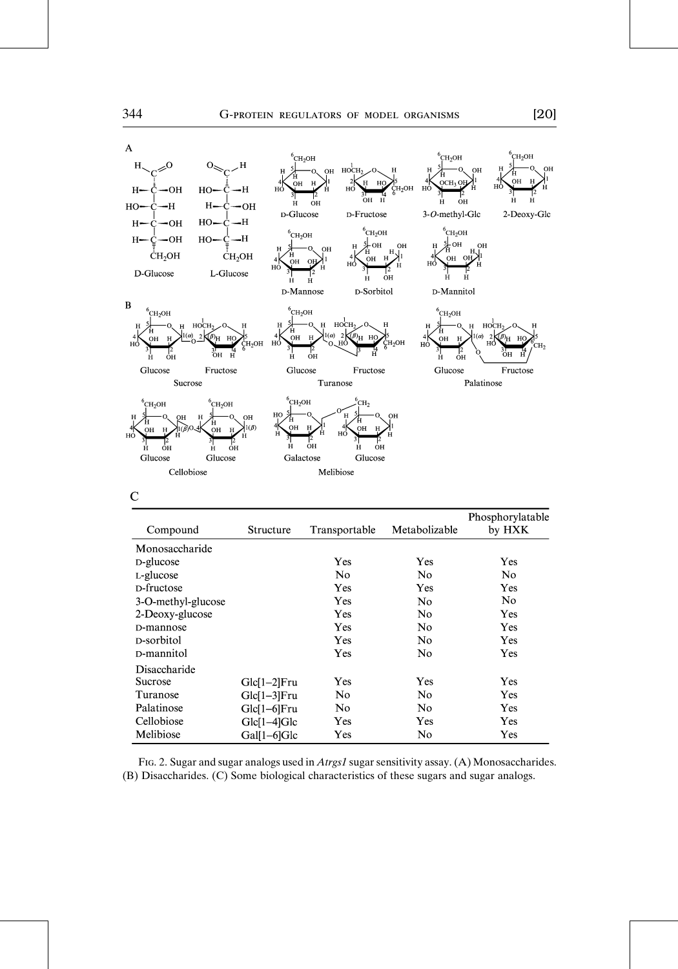

| Structure      | Transportable | Metabolizable | Phosphorylatable<br>by HXK |
|----------------|---------------|---------------|----------------------------|
|                |               |               |                            |
|                | Yes           | Yes           | Yes                        |
|                | No.           | No            | No.                        |
|                | Yes           | Yes           | Yes                        |
|                | Yes           | No            | No                         |
|                | Yes           | No            | Yes                        |
|                | Yes           | No            | Yes                        |
|                | Yes           | No            | Yes                        |
|                | Yes           | No            | Yes                        |
|                |               |               |                            |
| $Glc[1-2]$ Fru | Yes           | Yes           | Yes                        |
| Glc[1-3]Fru    | No            | No            | Yes                        |
|                | No            | No            | Yes                        |
| $Glc[1-4]Glc$  | Yes           | Yes           | Yes                        |
| Gal[1-6]Glc    | Yes           | No            | Yes                        |
|                | Glc[1-6]Fru   |               |                            |

FIG. 2. Sugar and sugar analogs used in Atrgs1 sugar sensitivity assay. (A) Monosaccharides. (B) Disaccharides. (C) Some biological characteristics of these sugars and sugar analogs.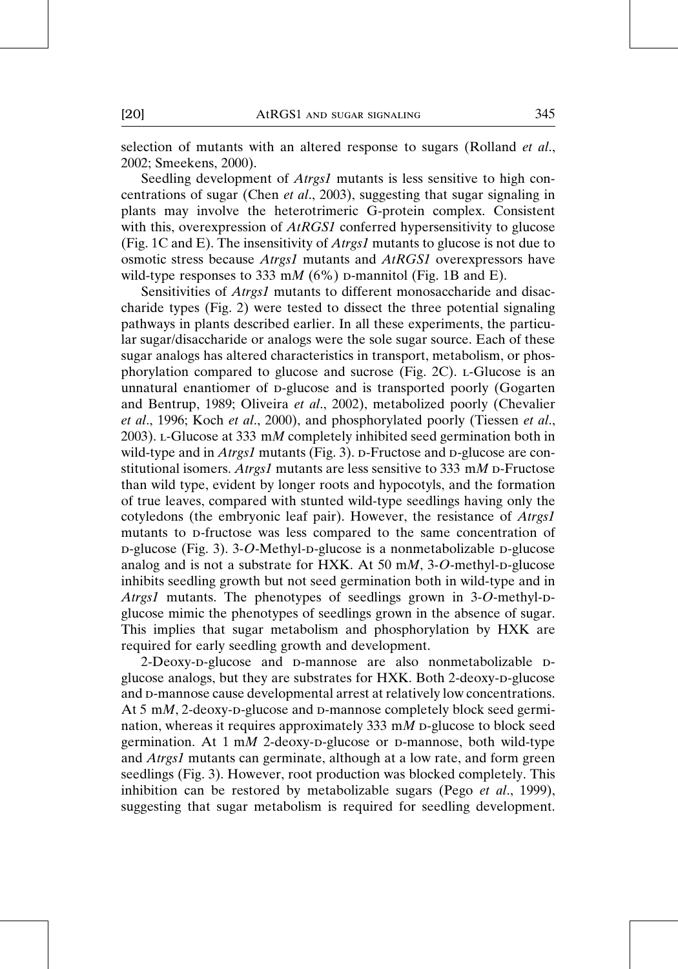selection of mutants with an altered response to sugars (Rolland et al., 2002; Smeekens, 2000).

Seedling development of *Atrgs1* mutants is less sensitive to high concentrations of sugar (Chen et al., 2003), suggesting that sugar signaling in plants may involve the heterotrimeric G-protein complex. Consistent with this, overexpression of *AtRGS1* conferred hypersensitivity to glucose (Fig. 1C and E). The insensitivity of *Atrgs1* mutants to glucose is not due to osmotic stress because Atrgs1 mutants and AtRGS1 overexpressors have wild-type responses to 333 mM (6%) p-mannitol (Fig. 1B and E).

Sensitivities of *Atrgs1* mutants to different monosaccharide and disaccharide types (Fig. 2) were tested to dissect the three potential signaling pathways in plants described earlier. In all these experiments, the particular sugar/disaccharide or analogs were the sole sugar source. Each of these sugar analogs has altered characteristics in transport, metabolism, or phosphorylation compared to glucose and sucrose (Fig. 2C). l-Glucose is an unnatural enantiomer of p-glucose and is transported poorly (Gogarten and Bentrup, 1989; Oliveira et al., 2002), metabolized poorly (Chevalier et al., 1996; Koch et al., 2000), and phosphorylated poorly (Tiessen et al., 2003). l-Glucose at 333 mM completely inhibited seed germination both in wild-type and in *Atrgs1* mutants (Fig. 3).  $\sigma$ -Fructose and  $\sigma$ -glucose are constitutional isomers. Atrgs1 mutants are less sensitive to 333 mM  $D$ -Fructose than wild type, evident by longer roots and hypocotyls, and the formation of true leaves, compared with stunted wild-type seedlings having only the cotyledons (the embryonic leaf pair). However, the resistance of Atrgs1 mutants to p-fructose was less compared to the same concentration of  $p$ -glucose (Fig. 3). 3-O-Methyl- $p$ -glucose is a nonmetabolizable  $p$ -glucose analog and is not a substrate for HXK. At 50 m $M$ , 3-O-methyl-p-glucose inhibits seedling growth but not seed germination both in wild-type and in Atrgs1 mutants. The phenotypes of seedlings grown in  $3-O$ -methyl-pglucose mimic the phenotypes of seedlings grown in the absence of sugar. This implies that sugar metabolism and phosphorylation by HXK are required for early seedling growth and development.

2-Deoxy-p-glucose and p-mannose are also nonmetabolizable pglucose analogs, but they are substrates for HXK. Both 2-deoxy-p-glucose and  $D$ -mannose cause developmental arrest at relatively low concentrations. At  $5 \text{ mM}$ , 2-deoxy-p-glucose and p-mannose completely block seed germination, whereas it requires approximately 333 m $M$  p-glucose to block seed germination. At  $1 \text{ m}M$  2-deoxy-p-glucose or p-mannose, both wild-type and Atrgs1 mutants can germinate, although at a low rate, and form green seedlings (Fig. 3). However, root production was blocked completely. This inhibition can be restored by metabolizable sugars (Pego *et al.*, 1999), suggesting that sugar metabolism is required for seedling development.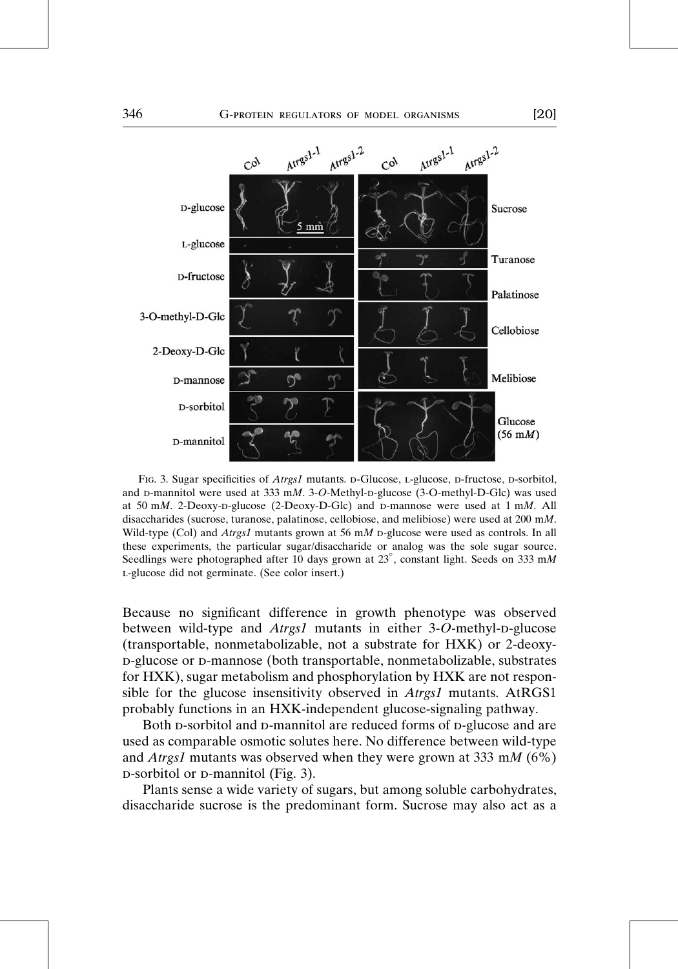

FIG. 3. Sugar specificities of Atrgs1 mutants. D-Glucose, L-glucose, D-fructose, D-sorbitol, and  $D$ -mannitol were used at 333 mM. 3-O-Methyl-D-glucose (3-O-methyl-D-Glc) was used at 50 mM. 2-Deoxy-D-glucose (2-Deoxy-D-Glc) and D-mannose were used at  $1 \text{ mM}$ . All disaccharides (sucrose, turanose, palatinose, cellobiose, and melibiose) were used at 200 mM. Wild-type (Col) and *Atrgs1* mutants grown at 56 mM p-glucose were used as controls. In all these experiments, the particular sugar/disaccharide or analog was the sole sugar source. Seedlings were photographed after 10 days grown at 23°, constant light. Seeds on 333 mM l-glucose did not germinate. (See color insert.)

Because no significant difference in growth phenotype was observed between wild-type and  $A trgs1$  mutants in either 3-O-methyl-p-glucose (transportable, nonmetabolizable, not a substrate for HXK) or 2-deoxyd-glucose or d-mannose (both transportable, nonmetabolizable, substrates for HXK), sugar metabolism and phosphorylation by HXK are not responsible for the glucose insensitivity observed in Atrgs1 mutants. AtRGS1 probably functions in an HXK-independent glucose-signaling pathway.

Both p-sorbitol and p-mannitol are reduced forms of p-glucose and are used as comparable osmotic solutes here. No difference between wild-type and *Atrgs1* mutants was observed when they were grown at 333 mM ( $6\%$ ) D-sorbitol or D-mannitol (Fig. 3).

Plants sense a wide variety of sugars, but among soluble carbohydrates, disaccharide sucrose is the predominant form. Sucrose may also act as a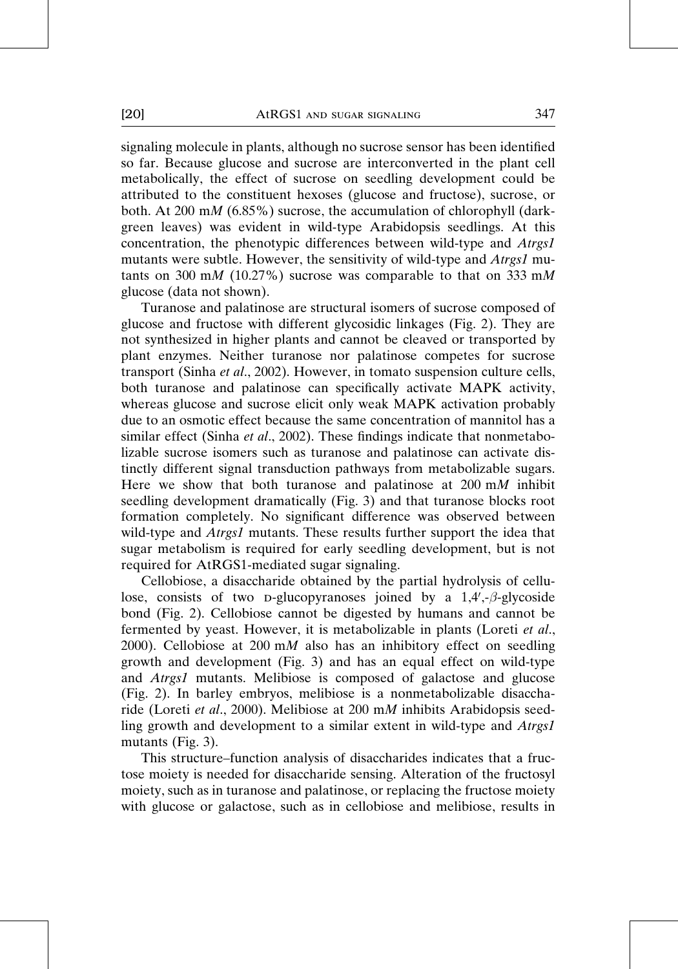[20] AtRGS1 and sugar signaling 347

signaling molecule in plants, although no sucrose sensor has been identified so far. Because glucose and sucrose are interconverted in the plant cell metabolically, the effect of sucrose on seedling development could be attributed to the constituent hexoses (glucose and fructose), sucrose, or both. At 200 mM (6.85%) sucrose, the accumulation of chlorophyll (darkgreen leaves) was evident in wild-type Arabidopsis seedlings. At this concentration, the phenotypic differences between wild-type and Atrgs1 mutants were subtle. However, the sensitivity of wild-type and Atrgs1 mutants on 300 mM (10.27%) sucrose was comparable to that on 333 mM glucose (data not shown).

Turanose and palatinose are structural isomers of sucrose composed of glucose and fructose with different glycosidic linkages (Fig. 2). They are not synthesized in higher plants and cannot be cleaved or transported by plant enzymes. Neither turanose nor palatinose competes for sucrose transport (Sinha et al., 2002). However, in tomato suspension culture cells, both turanose and palatinose can specifically activate MAPK activity, whereas glucose and sucrose elicit only weak MAPK activation probably due to an osmotic effect because the same concentration of mannitol has a similar effect (Sinha *et al.*, 2002). These findings indicate that nonmetabolizable sucrose isomers such as turanose and palatinose can activate distinctly different signal transduction pathways from metabolizable sugars. Here we show that both turanose and palatinose at  $200 \text{ m}$  inhibit seedling development dramatically (Fig. 3) and that turanose blocks root formation completely. No significant difference was observed between wild-type and *Atrgs1* mutants. These results further support the idea that sugar metabolism is required for early seedling development, but is not required for AtRGS1-mediated sugar signaling.

Cellobiose, a disaccharide obtained by the partial hydrolysis of cellulose, consists of two p-glucopyranoses joined by a  $1,4', -\beta$ -glycoside bond (Fig. 2). Cellobiose cannot be digested by humans and cannot be fermented by yeast. However, it is metabolizable in plants (Loreti et al., 2000). Cellobiose at 200 mM also has an inhibitory effect on seedling growth and development (Fig. 3) and has an equal effect on wild-type and Atrgs1 mutants. Melibiose is composed of galactose and glucose (Fig. 2). In barley embryos, melibiose is a nonmetabolizable disaccharide (Loreti et al., 2000). Melibiose at 200 mM inhibits Arabidopsis seedling growth and development to a similar extent in wild-type and Atrgs1 mutants (Fig. 3).

This structure–function analysis of disaccharides indicates that a fructose moiety is needed for disaccharide sensing. Alteration of the fructosyl moiety, such as in turanose and palatinose, or replacing the fructose moiety with glucose or galactose, such as in cellobiose and melibiose, results in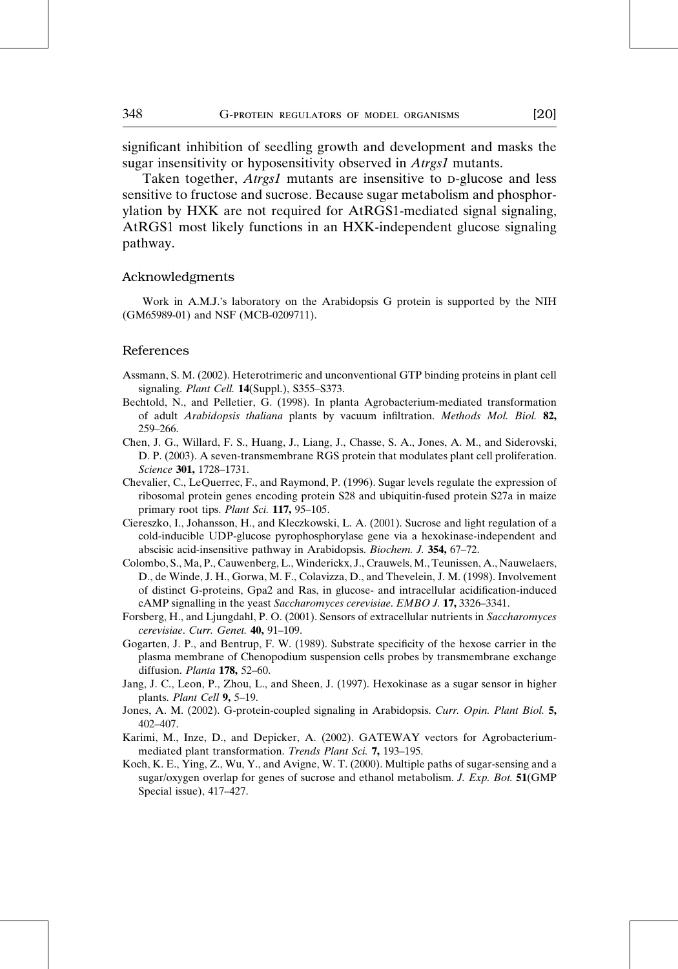significant inhibition of seedling growth and development and masks the sugar insensitivity or hyposensitivity observed in Atrgs1 mutants.

Taken together, *Atrgs1* mutants are insensitive to D-glucose and less sensitive to fructose and sucrose. Because sugar metabolism and phosphorylation by HXK are not required for AtRGS1-mediated signal signaling, AtRGS1 most likely functions in an HXK-independent glucose signaling pathway.

#### Acknowledgments

Work in A.M.J.'s laboratory on the Arabidopsis G protein is supported by the NIH (GM65989-01) and NSF (MCB-0209711).

#### References

- Assmann, S. M. (2002). Heterotrimeric and unconventional GTP binding proteins in plant cell signaling. Plant Cell. 14(Suppl.), S355-S373.
- Bechtold, N., and Pelletier, G. (1998). In planta Agrobacterium-mediated transformation of adult Arabidopsis thaliana plants by vacuum infiltration. Methods Mol. Biol. 82, 259–266.
- Chen, J. G., Willard, F. S., Huang, J., Liang, J., Chasse, S. A., Jones, A. M., and Siderovski, D. P. (2003). A seven-transmembrane RGS protein that modulates plant cell proliferation. Science 301, 1728–1731.
- Chevalier, C., LeQuerrec, F., and Raymond, P. (1996). Sugar levels regulate the expression of ribosomal protein genes encoding protein S28 and ubiquitin-fused protein S27a in maize primary root tips. Plant Sci. 117, 95-105.
- Ciereszko, I., Johansson, H., and Kleczkowski, L. A. (2001). Sucrose and light regulation of a cold-inducible UDP-glucose pyrophosphorylase gene via a hexokinase-independent and abscisic acid-insensitive pathway in Arabidopsis. Biochem. J. 354, 67–72.
- Colombo, S., Ma, P., Cauwenberg, L., Winderickx, J., Crauwels, M., Teunissen, A., Nauwelaers, D., de Winde, J. H., Gorwa, M. F., Colavizza, D., and Thevelein, J. M. (1998). Involvement of distinct G-proteins, Gpa2 and Ras, in glucose- and intracellular acidification-induced cAMP signalling in the yeast Saccharomyces cerevisiae. EMBO J. 17, 3326–3341.
- Forsberg, H., and Ljungdahl, P. O. (2001). Sensors of extracellular nutrients in Saccharomyces cerevisiae. Curr. Genet. 40, 91–109.
- Gogarten, J. P., and Bentrup, F. W. (1989). Substrate specificity of the hexose carrier in the plasma membrane of Chenopodium suspension cells probes by transmembrane exchange diffusion. Planta 178, 52–60.
- Jang, J. C., Leon, P., Zhou, L., and Sheen, J. (1997). Hexokinase as a sugar sensor in higher plants. Plant Cell 9, 5-19.
- Jones, A. M. (2002). G-protein-coupled signaling in Arabidopsis. Curr. Opin. Plant Biol. 5, 402–407.
- Karimi, M., Inze, D., and Depicker, A. (2002). GATEWAY vectors for Agrobacteriummediated plant transformation. Trends Plant Sci. 7, 193–195.
- Koch, K. E., Ying, Z., Wu, Y., and Avigne, W. T. (2000). Multiple paths of sugar-sensing and a sugar/oxygen overlap for genes of sucrose and ethanol metabolism. J. Exp. Bot. 51(GMP Special issue), 417–427.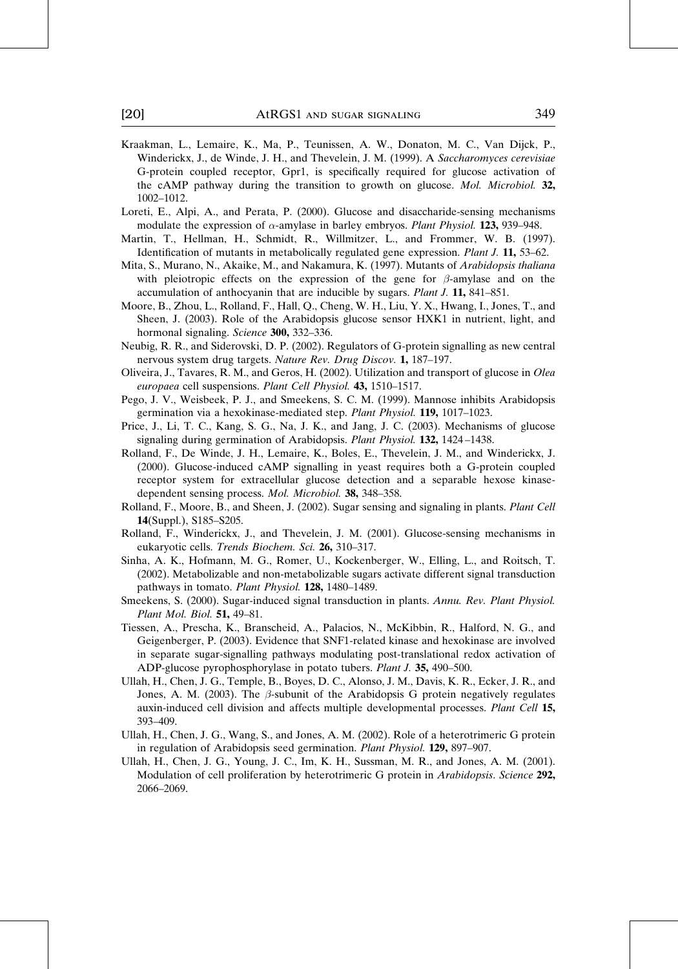- Kraakman, L., Lemaire, K., Ma, P., Teunissen, A. W., Donaton, M. C., Van Dijck, P., Winderickx, J., de Winde, J. H., and Thevelein, J. M. (1999). A Saccharomyces cerevisiae G-protein coupled receptor, Gpr1, is specifically required for glucose activation of the cAMP pathway during the transition to growth on glucose. Mol. Microbiol. 32, 1002–1012.
- Loreti, E., Alpi, A., and Perata, P. (2000). Glucose and disaccharide-sensing mechanisms modulate the expression of  $\alpha$ -amylase in barley embryos. Plant Physiol. 123, 939–948.
- Martin, T., Hellman, H., Schmidt, R., Willmitzer, L., and Frommer, W. B. (1997). Identification of mutants in metabolically regulated gene expression. Plant J. 11, 53–62.
- Mita, S., Murano, N., Akaike, M., and Nakamura, K. (1997). Mutants of Arabidopsis thaliana with pleiotropic effects on the expression of the gene for  $\beta$ -amylase and on the accumulation of anthocyanin that are inducible by sugars. Plant J. 11, 841–851.
- Moore, B., Zhou, L., Rolland, F., Hall, Q., Cheng, W. H., Liu, Y. X., Hwang, I., Jones, T., and Sheen, J. (2003). Role of the Arabidopsis glucose sensor HXK1 in nutrient, light, and hormonal signaling. Science 300, 332–336.
- Neubig, R. R., and Siderovski, D. P. (2002). Regulators of G-protein signalling as new central nervous system drug targets. Nature Rev. Drug Discov. 1, 187–197.
- Oliveira, J., Tavares, R. M., and Geros, H. (2002). Utilization and transport of glucose in Olea europaea cell suspensions. Plant Cell Physiol. 43, 1510–1517.
- Pego, J. V., Weisbeek, P. J., and Smeekens, S. C. M. (1999). Mannose inhibits Arabidopsis germination via a hexokinase-mediated step. Plant Physiol. 119, 1017–1023.
- Price, J., Li, T. C., Kang, S. G., Na, J. K., and Jang, J. C. (2003). Mechanisms of glucose signaling during germination of Arabidopsis. Plant Physiol. 132, 1424 –1438.
- Rolland, F., De Winde, J. H., Lemaire, K., Boles, E., Thevelein, J. M., and Winderickx, J. (2000). Glucose-induced cAMP signalling in yeast requires both a G-protein coupled receptor system for extracellular glucose detection and a separable hexose kinasedependent sensing process. Mol. Microbiol. 38, 348–358.
- Rolland, F., Moore, B., and Sheen, J. (2002). Sugar sensing and signaling in plants. Plant Cell 14(Suppl.), S185–S205.
- Rolland, F., Winderickx, J., and Thevelein, J. M. (2001). Glucose-sensing mechanisms in eukaryotic cells. Trends Biochem. Sci. 26, 310–317.
- Sinha, A. K., Hofmann, M. G., Romer, U., Kockenberger, W., Elling, L., and Roitsch, T. (2002). Metabolizable and non-metabolizable sugars activate different signal transduction pathways in tomato. Plant Physiol. 128, 1480–1489.
- Smeekens, S. (2000). Sugar-induced signal transduction in plants. Annu. Rev. Plant Physiol. Plant Mol. Biol. 51, 49–81.
- Tiessen, A., Prescha, K., Branscheid, A., Palacios, N., McKibbin, R., Halford, N. G., and Geigenberger, P. (2003). Evidence that SNF1-related kinase and hexokinase are involved in separate sugar-signalling pathways modulating post-translational redox activation of ADP-glucose pyrophosphorylase in potato tubers. Plant J. 35, 490–500.
- Ullah, H., Chen, J. G., Temple, B., Boyes, D. C., Alonso, J. M., Davis, K. R., Ecker, J. R., and Jones, A. M. (2003). The  $\beta$ -subunit of the Arabidopsis G protein negatively regulates auxin-induced cell division and affects multiple developmental processes. Plant Cell 15, 393–409.
- Ullah, H., Chen, J. G., Wang, S., and Jones, A. M. (2002). Role of a heterotrimeric G protein in regulation of Arabidopsis seed germination. Plant Physiol. 129, 897–907.
- Ullah, H., Chen, J. G., Young, J. C., Im, K. H., Sussman, M. R., and Jones, A. M. (2001). Modulation of cell proliferation by heterotrimeric G protein in Arabidopsis. Science 292, 2066–2069.